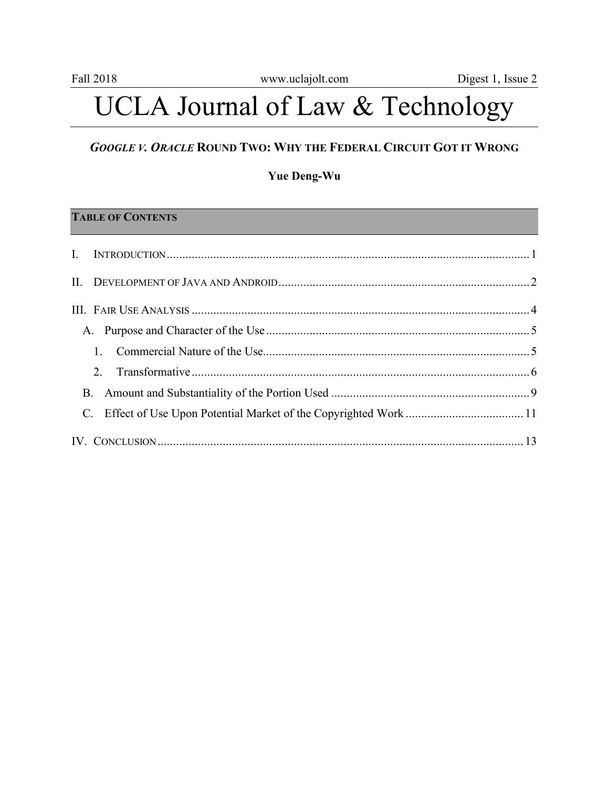# UCLA Journal of Law & Technology

# *GOOGLE V. ORACLE* **ROUND TWO: WHY THE FEDERAL CIRCUIT GOT IT WRONG**

#### **Yue Deng-Wu**

# **TABLE OF CONTENTS**

|            | A. |  |
|------------|----|--|
|            |    |  |
|            |    |  |
| <b>B</b> . |    |  |
|            |    |  |
|            |    |  |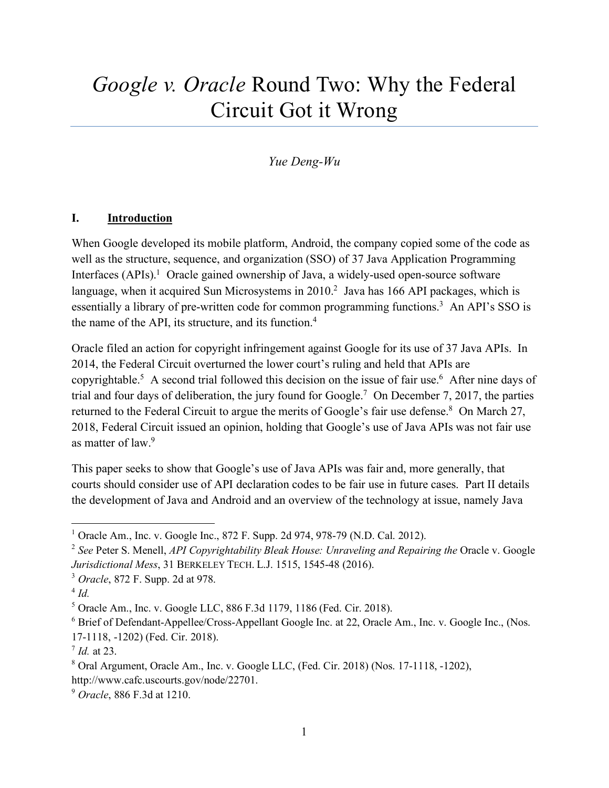# *Google v. Oracle* Round Two: Why the Federal Circuit Got it Wrong

# *Yue Deng-Wu*

#### **I. Introduction**

When Google developed its mobile platform, Android, the company copied some of the code as well as the structure, sequence, and organization (SSO) of 37 Java Application Programming Interfaces  $(APIs).<sup>1</sup>$  Oracle gained ownership of Java, a widely-used open-source software language, when it acquired Sun Microsystems in 2010.<sup>2</sup> Java has 166 API packages, which is essentially a library of pre-written code for common programming functions.<sup>3</sup> An API's SSO is the name of the API, its structure, and its function.<sup>4</sup>

Oracle filed an action for copyright infringement against Google for its use of 37 Java APIs. In 2014, the Federal Circuit overturned the lower court's ruling and held that APIs are copyrightable.<sup>5</sup> A second trial followed this decision on the issue of fair use.<sup>6</sup> After nine days of trial and four days of deliberation, the jury found for Google.7 On December 7, 2017, the parties returned to the Federal Circuit to argue the merits of Google's fair use defense.<sup>8</sup> On March 27, 2018, Federal Circuit issued an opinion, holding that Google's use of Java APIs was not fair use as matter of law.9

This paper seeks to show that Google's use of Java APIs was fair and, more generally, that courts should consider use of API declaration codes to be fair use in future cases. Part II details the development of Java and Android and an overview of the technology at issue, namely Java

<sup>&</sup>lt;sup>1</sup> Oracle Am., Inc. v. Google Inc., 872 F. Supp. 2d 974, 978-79 (N.D. Cal. 2012).

<sup>&</sup>lt;sup>2</sup> See Peter S. Menell, *API Copyrightability Bleak House: Unraveling and Repairing the Oracle v. Google Jurisdictional Mess*, 31 BERKELEY TECH. L.J. 1515, 1545-48 (2016).

<sup>3</sup> *Oracle*, 872 F. Supp. 2d at 978.

<sup>4</sup> *Id.*

<sup>5</sup> Oracle Am., Inc. v. Google LLC, 886 F.3d 1179, 1186 (Fed. Cir. 2018).

<sup>6</sup> Brief of Defendant-Appellee/Cross-Appellant Google Inc. at 22, Oracle Am., Inc. v. Google Inc., (Nos. 17-1118, -1202) (Fed. Cir. 2018).

 $^7$  *Id.* at 23.

<sup>8</sup> Oral Argument, Oracle Am., Inc. v. Google LLC, (Fed. Cir. 2018) (Nos. 17-1118, -1202), http://www.cafc.uscourts.gov/node/22701.

<sup>9</sup> *Oracle*, 886 F.3d at 1210.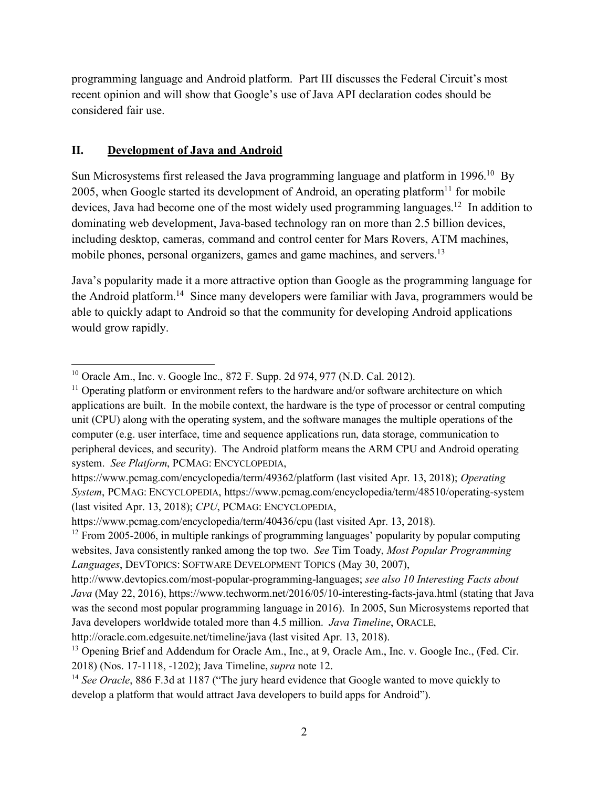programming language and Android platform. Part III discusses the Federal Circuit's most recent opinion and will show that Google's use of Java API declaration codes should be considered fair use.

#### **II. Development of Java and Android**

Sun Microsystems first released the Java programming language and platform in 1996.<sup>10</sup> By 2005, when Google started its development of Android, an operating platform<sup>11</sup> for mobile devices, Java had become one of the most widely used programming languages.<sup>12</sup> In addition to dominating web development, Java-based technology ran on more than 2.5 billion devices, including desktop, cameras, command and control center for Mars Rovers, ATM machines, mobile phones, personal organizers, games and game machines, and servers.<sup>13</sup>

Java's popularity made it a more attractive option than Google as the programming language for the Android platform.14 Since many developers were familiar with Java, programmers would be able to quickly adapt to Android so that the community for developing Android applications would grow rapidly.

 <sup>10</sup> Oracle Am., Inc. v. Google Inc., 872 F. Supp. 2d 974, 977 (N.D. Cal. 2012).

<sup>&</sup>lt;sup>11</sup> Operating platform or environment refers to the hardware and/or software architecture on which applications are built. In the mobile context, the hardware is the type of processor or central computing unit (CPU) along with the operating system, and the software manages the multiple operations of the computer (e.g. user interface, time and sequence applications run, data storage, communication to peripheral devices, and security). The Android platform means the ARM CPU and Android operating system. *See Platform*, PCMAG: ENCYCLOPEDIA,

https://www.pcmag.com/encyclopedia/term/49362/platform (last visited Apr. 13, 2018); *Operating System*, PCMAG: ENCYCLOPEDIA, https://www.pcmag.com/encyclopedia/term/48510/operating-system (last visited Apr. 13, 2018); *CPU*, PCMAG: ENCYCLOPEDIA,

https://www.pcmag.com/encyclopedia/term/40436/cpu (last visited Apr. 13, 2018).

<sup>&</sup>lt;sup>12</sup> From 2005-2006, in multiple rankings of programming languages' popularity by popular computing websites, Java consistently ranked among the top two. *See* Tim Toady, *Most Popular Programming Languages*, DEVTOPICS: SOFTWARE DEVELOPMENT TOPICS (May 30, 2007),

http://www.devtopics.com/most-popular-programming-languages; *see also 10 Interesting Facts about Java* (May 22, 2016), https://www.techworm.net/2016/05/10-interesting-facts-java.html (stating that Java was the second most popular programming language in 2016). In 2005, Sun Microsystems reported that Java developers worldwide totaled more than 4.5 million. *Java Timeline*, ORACLE, http://oracle.com.edgesuite.net/timeline/java (last visited Apr. 13, 2018).

<sup>&</sup>lt;sup>13</sup> Opening Brief and Addendum for Oracle Am., Inc., at 9, Oracle Am., Inc. v. Google Inc., (Fed. Cir. 2018) (Nos. 17-1118, -1202); Java Timeline, *supra* note 12.

<sup>&</sup>lt;sup>14</sup> See Oracle, 886 F.3d at 1187 ("The jury heard evidence that Google wanted to move quickly to develop a platform that would attract Java developers to build apps for Android").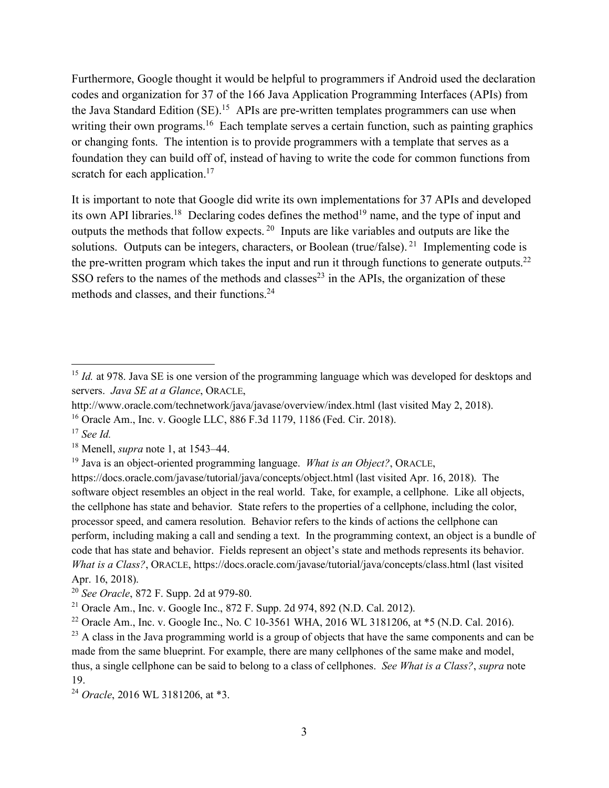Furthermore, Google thought it would be helpful to programmers if Android used the declaration codes and organization for 37 of the 166 Java Application Programming Interfaces (APIs) from the Java Standard Edition (SE).<sup>15</sup> APIs are pre-written templates programmers can use when writing their own programs.<sup>16</sup> Each template serves a certain function, such as painting graphics or changing fonts. The intention is to provide programmers with a template that serves as a foundation they can build off of, instead of having to write the code for common functions from scratch for each application.<sup>17</sup>

It is important to note that Google did write its own implementations for 37 APIs and developed its own API libraries.<sup>18</sup> Declaring codes defines the method<sup>19</sup> name, and the type of input and outputs the methods that follow expects. 20 Inputs are like variables and outputs are like the solutions. Outputs can be integers, characters, or Boolean (true/false). <sup>21</sup> Implementing code is the pre-written program which takes the input and run it through functions to generate outputs.<sup>22</sup> SSO refers to the names of the methods and classes<sup>23</sup> in the APIs, the organization of these methods and classes, and their functions.<sup>24</sup>

<sup>&</sup>lt;sup>15</sup> *Id.* at 978. Java SE is one version of the programming language which was developed for desktops and servers. *Java SE at a Glance*, ORACLE,

http://www.oracle.com/technetwork/java/javase/overview/index.html (last visited May 2, 2018).

<sup>16</sup> Oracle Am., Inc. v. Google LLC, 886 F.3d 1179, 1186 (Fed. Cir. 2018).

<sup>17</sup> *See Id.*

<sup>18</sup> Menell, *supra* note 1, at 1543–44.

<sup>19</sup> Java is an object-oriented programming language. *What is an Object?*, ORACLE,

https://docs.oracle.com/javase/tutorial/java/concepts/object.html (last visited Apr. 16, 2018). The software object resembles an object in the real world. Take, for example, a cellphone. Like all objects, the cellphone has state and behavior. State refers to the properties of a cellphone, including the color, processor speed, and camera resolution. Behavior refers to the kinds of actions the cellphone can perform, including making a call and sending a text. In the programming context, an object is a bundle of code that has state and behavior. Fields represent an object's state and methods represents its behavior. *What is a Class?*, ORACLE, https://docs.oracle.com/javase/tutorial/java/concepts/class.html (last visited Apr. 16, 2018).

<sup>20</sup> *See Oracle*, 872 F. Supp. 2d at 979-80.

<sup>&</sup>lt;sup>21</sup> Oracle Am., Inc. v. Google Inc., 872 F. Supp. 2d 974, 892 (N.D. Cal. 2012).

<sup>&</sup>lt;sup>22</sup> Oracle Am., Inc. v. Google Inc., No. C 10-3561 WHA, 2016 WL 3181206, at  $*$ 5 (N.D. Cal. 2016).

<sup>&</sup>lt;sup>23</sup> A class in the Java programming world is a group of objects that have the same components and can be made from the same blueprint. For example, there are many cellphones of the same make and model, thus, a single cellphone can be said to belong to a class of cellphones. *See What is a Class?*, *supra* note 19. 24 *Oracle*, 2016 WL 3181206, at \*3.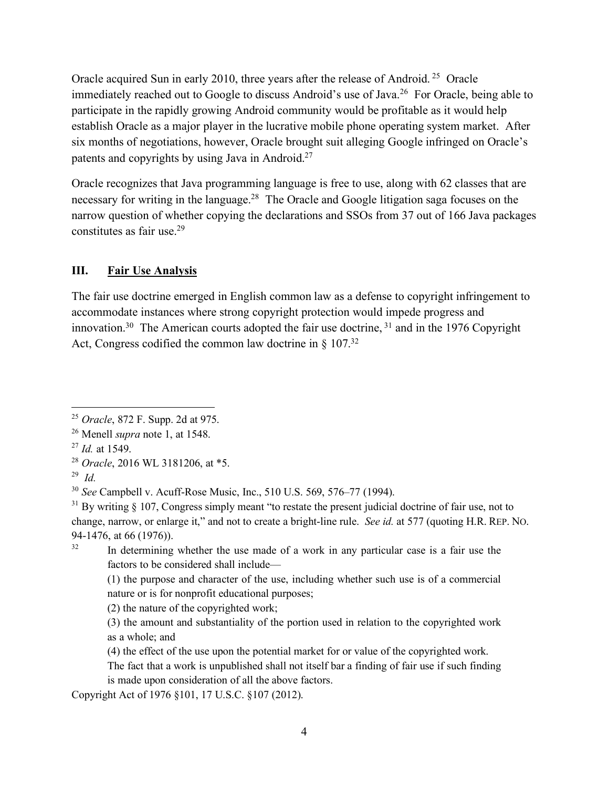Oracle acquired Sun in early 2010, three years after the release of Android. 25 Oracle immediately reached out to Google to discuss Android's use of Java.<sup>26</sup> For Oracle, being able to participate in the rapidly growing Android community would be profitable as it would help establish Oracle as a major player in the lucrative mobile phone operating system market. After six months of negotiations, however, Oracle brought suit alleging Google infringed on Oracle's patents and copyrights by using Java in Android.27

Oracle recognizes that Java programming language is free to use, along with 62 classes that are necessary for writing in the language.28 The Oracle and Google litigation saga focuses on the narrow question of whether copying the declarations and SSOs from 37 out of 166 Java packages constitutes as fair use.29

#### **III. Fair Use Analysis**

The fair use doctrine emerged in English common law as a defense to copyright infringement to accommodate instances where strong copyright protection would impede progress and innovation.<sup>30</sup> The American courts adopted the fair use doctrine,  $31$  and in the 1976 Copyright Act, Congress codified the common law doctrine in  $\S 107^{32}$ 

<sup>32</sup> In determining whether the use made of a work in any particular case is a fair use the factors to be considered shall include—

(2) the nature of the copyrighted work;

Copyright Act of 1976 §101, 17 U.S.C. §107 (2012).

 <sup>25</sup> *Oracle*, 872 F. Supp. 2d at 975.

<sup>26</sup> Menell *supra* note 1, at 1548.

<sup>27</sup> *Id.* at 1549.

<sup>28</sup> *Oracle*, 2016 WL 3181206, at \*5.

<sup>29</sup> *Id.*

<sup>30</sup> *See* Campbell v. Acuff-Rose Music, Inc., 510 U.S. 569, 576–77 (1994).

 $31$  By writing § 107, Congress simply meant "to restate the present judicial doctrine of fair use, not to change, narrow, or enlarge it," and not to create a bright-line rule. *See id.* at 577 (quoting H.R. REP. NO. 94-1476, at 66 (1976)).

<sup>(1)</sup> the purpose and character of the use, including whether such use is of a commercial nature or is for nonprofit educational purposes;

<sup>(3)</sup> the amount and substantiality of the portion used in relation to the copyrighted work as a whole; and

<sup>(4)</sup> the effect of the use upon the potential market for or value of the copyrighted work.

The fact that a work is unpublished shall not itself bar a finding of fair use if such finding is made upon consideration of all the above factors.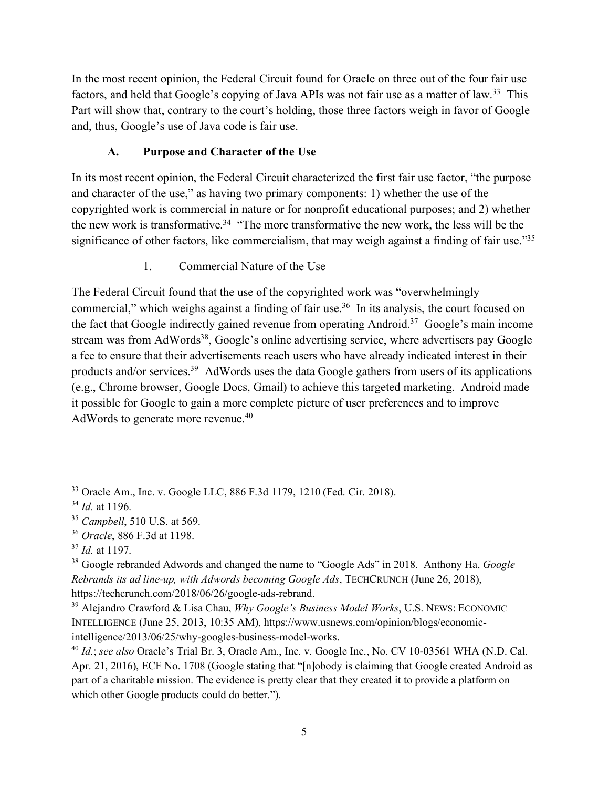In the most recent opinion, the Federal Circuit found for Oracle on three out of the four fair use factors, and held that Google's copying of Java APIs was not fair use as a matter of law.<sup>33</sup> This Part will show that, contrary to the court's holding, those three factors weigh in favor of Google and, thus, Google's use of Java code is fair use.

### **A. Purpose and Character of the Use**

In its most recent opinion, the Federal Circuit characterized the first fair use factor, "the purpose and character of the use," as having two primary components: 1) whether the use of the copyrighted work is commercial in nature or for nonprofit educational purposes; and 2) whether the new work is transformative.<sup>34</sup> "The more transformative the new work, the less will be the significance of other factors, like commercialism, that may weigh against a finding of fair use."<sup>35</sup>

#### 1. Commercial Nature of the Use

The Federal Circuit found that the use of the copyrighted work was "overwhelmingly commercial," which weighs against a finding of fair use.<sup>36</sup> In its analysis, the court focused on the fact that Google indirectly gained revenue from operating Android.37 Google's main income stream was from AdWords<sup>38</sup>, Google's online advertising service, where advertisers pay Google a fee to ensure that their advertisements reach users who have already indicated interest in their products and/or services.39 AdWords uses the data Google gathers from users of its applications (e.g., Chrome browser, Google Docs, Gmail) to achieve this targeted marketing. Android made it possible for Google to gain a more complete picture of user preferences and to improve AdWords to generate more revenue.<sup>40</sup>

 <sup>33</sup> Oracle Am., Inc. v. Google LLC, 886 F.3d 1179, 1210 (Fed. Cir. 2018).

<sup>34</sup> *Id.* at 1196.

<sup>35</sup> *Campbell*, 510 U.S. at 569.

<sup>36</sup> *Oracle*, 886 F.3d at 1198.

<sup>37</sup> *Id.* at 1197.

<sup>38</sup> Google rebranded Adwords and changed the name to "Google Ads" in 2018. Anthony Ha, *Google Rebrands its ad line-up, with Adwords becoming Google Ads*, TECHCRUNCH (June 26, 2018), https://techcrunch.com/2018/06/26/google-ads-rebrand.

<sup>39</sup> Alejandro Crawford & Lisa Chau, *Why Google's Business Model Works*, U.S. NEWS: ECONOMIC INTELLIGENCE (June 25, 2013, 10:35 AM), https://www.usnews.com/opinion/blogs/economicintelligence/2013/06/25/why-googles-business-model-works.

<sup>&</sup>lt;sup>40</sup> *Id.*; *see also* Oracle's Trial Br. 3, Oracle Am., Inc. v. Google Inc., No. CV 10-03561 WHA (N.D. Cal.) Apr. 21, 2016), ECF No. 1708 (Google stating that "[n]obody is claiming that Google created Android as part of a charitable mission. The evidence is pretty clear that they created it to provide a platform on which other Google products could do better.").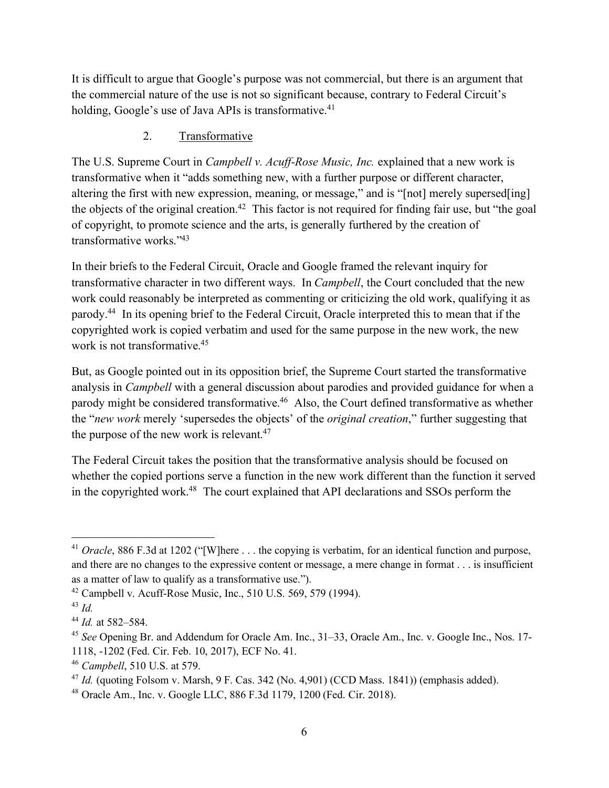It is difficult to argue that Google's purpose was not commercial, but there is an argument that the commercial nature of the use is not so significant because, contrary to Federal Circuit's holding, Google's use of Java APIs is transformative.<sup>41</sup>

# 2. Transformative

The U.S. Supreme Court in *Campbell v. Acuff-Rose Music, Inc.* explained that a new work is transformative when it "adds something new, with a further purpose or different character, altering the first with new expression, meaning, or message," and is "[not] merely supersed[ing] the objects of the original creation.<sup>42</sup> This factor is not required for finding fair use, but "the goal" of copyright, to promote science and the arts, is generally furthered by the creation of transformative works."43

In their briefs to the Federal Circuit, Oracle and Google framed the relevant inquiry for transformative character in two different ways. In *Campbell*, the Court concluded that the new work could reasonably be interpreted as commenting or criticizing the old work, qualifying it as parody.44 In its opening brief to the Federal Circuit, Oracle interpreted this to mean that if the copyrighted work is copied verbatim and used for the same purpose in the new work, the new work is not transformative.<sup>45</sup>

But, as Google pointed out in its opposition brief, the Supreme Court started the transformative analysis in *Campbell* with a general discussion about parodies and provided guidance for when a parody might be considered transformative.46 Also, the Court defined transformative as whether the "*new work* merely 'supersedes the objects' of the *original creation*," further suggesting that the purpose of the new work is relevant.<sup>47</sup>

The Federal Circuit takes the position that the transformative analysis should be focused on whether the copied portions serve a function in the new work different than the function it served in the copyrighted work.48 The court explained that API declarations and SSOs perform the

<sup>&</sup>lt;sup>41</sup> *Oracle*, 886 F.3d at 1202 ("[W]here . . . the copying is verbatim, for an identical function and purpose, and there are no changes to the expressive content or message, a mere change in format . . . is insufficient as a matter of law to qualify as a transformative use.").

 $42$  Campbell v. Acuff-Rose Music, Inc., 510 U.S. 569, 579 (1994).

<sup>43</sup> *Id.*

<sup>44</sup> *Id.* at 582–584.

<sup>45</sup> *See* Opening Br. and Addendum for Oracle Am. Inc., 31–33, Oracle Am., Inc. v. Google Inc., Nos. 17- 1118, -1202 (Fed. Cir. Feb. 10, 2017), ECF No. 41.

<sup>46</sup> *Campbell*, 510 U.S. at 579.

<sup>47</sup> *Id.* (quoting Folsom v. Marsh, 9 F. Cas. 342 (No. 4,901) (CCD Mass. 1841)) (emphasis added).

<sup>48</sup> Oracle Am., Inc. v. Google LLC, 886 F.3d 1179, 1200 (Fed. Cir. 2018).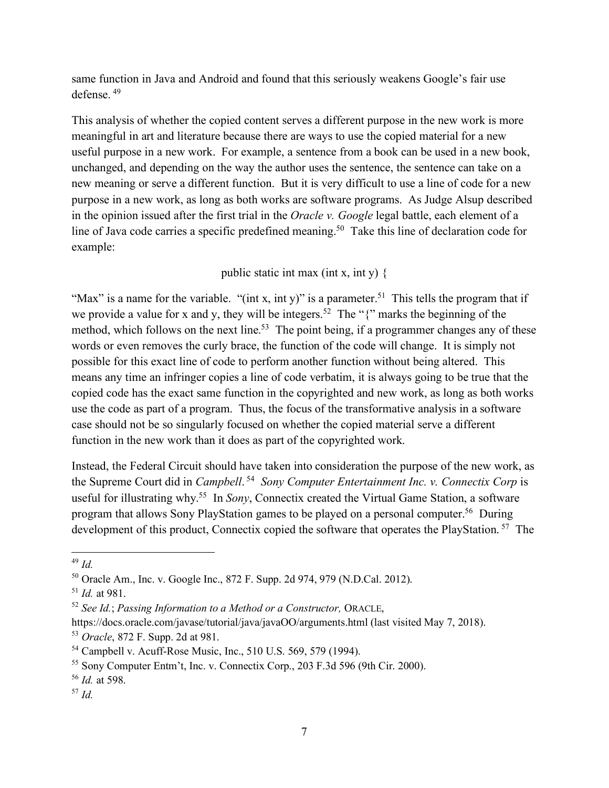same function in Java and Android and found that this seriously weakens Google's fair use defense. <sup>49</sup>

This analysis of whether the copied content serves a different purpose in the new work is more meaningful in art and literature because there are ways to use the copied material for a new useful purpose in a new work. For example, a sentence from a book can be used in a new book, unchanged, and depending on the way the author uses the sentence, the sentence can take on a new meaning or serve a different function. But it is very difficult to use a line of code for a new purpose in a new work, as long as both works are software programs. As Judge Alsup described in the opinion issued after the first trial in the *Oracle v. Google* legal battle, each element of a line of Java code carries a specific predefined meaning.<sup>50</sup> Take this line of declaration code for example:

public static int max (int x, int y) {

"Max" is a name for the variable. "(int x, int y)" is a parameter.<sup>51</sup> This tells the program that if we provide a value for x and y, they will be integers.<sup>52</sup> The " $\{$ " marks the beginning of the method, which follows on the next line.<sup>53</sup> The point being, if a programmer changes any of these words or even removes the curly brace, the function of the code will change. It is simply not possible for this exact line of code to perform another function without being altered. This means any time an infringer copies a line of code verbatim, it is always going to be true that the copied code has the exact same function in the copyrighted and new work, as long as both works use the code as part of a program. Thus, the focus of the transformative analysis in a software case should not be so singularly focused on whether the copied material serve a different function in the new work than it does as part of the copyrighted work.

Instead, the Federal Circuit should have taken into consideration the purpose of the new work, as the Supreme Court did in *Campbell*. <sup>54</sup> *Sony Computer Entertainment Inc. v. Connectix Corp* is useful for illustrating why. 55 In *Sony*, Connectix created the Virtual Game Station, a software program that allows Sony PlayStation games to be played on a personal computer.56 During development of this product, Connectix copied the software that operates the PlayStation. 57 The

 <sup>49</sup> *Id.*

<sup>50</sup> Oracle Am., Inc. v. Google Inc., 872 F. Supp. 2d 974, 979 (N.D.Cal. 2012).

<sup>51</sup> *Id.* at 981.

<sup>52</sup> *See Id.*; *Passing Information to a Method or a Constructor,* ORACLE,

https://docs.oracle.com/javase/tutorial/java/javaOO/arguments.html (last visited May 7, 2018).

<sup>53</sup> *Oracle*, 872 F. Supp. 2d at 981.

<sup>54</sup> Campbell v. Acuff-Rose Music, Inc., 510 U.S. 569, 579 (1994).

<sup>55</sup> Sony Computer Entm't, Inc. v. Connectix Corp., 203 F.3d 596 (9th Cir. 2000).

<sup>56</sup> *Id.* at 598.

<sup>57</sup> *Id.*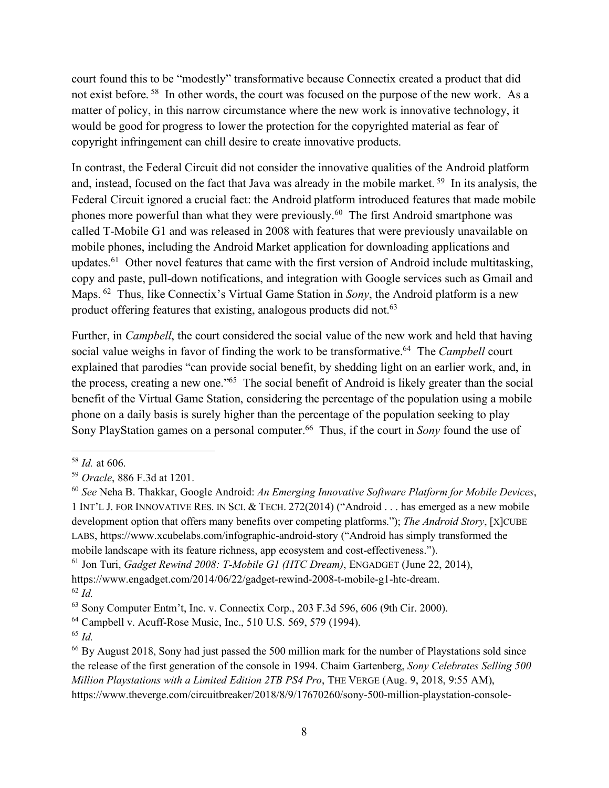court found this to be "modestly" transformative because Connectix created a product that did not exist before.<sup>58</sup> In other words, the court was focused on the purpose of the new work. As a matter of policy, in this narrow circumstance where the new work is innovative technology, it would be good for progress to lower the protection for the copyrighted material as fear of copyright infringement can chill desire to create innovative products.

In contrast, the Federal Circuit did not consider the innovative qualities of the Android platform and, instead, focused on the fact that Java was already in the mobile market. <sup>59</sup> In its analysis, the Federal Circuit ignored a crucial fact: the Android platform introduced features that made mobile phones more powerful than what they were previously.60 The first Android smartphone was called T-Mobile G1 and was released in 2008 with features that were previously unavailable on mobile phones, including the Android Market application for downloading applications and updates.<sup>61</sup> Other novel features that came with the first version of Android include multitasking, copy and paste, pull-down notifications, and integration with Google services such as Gmail and Maps. <sup>62</sup> Thus, like Connectix's Virtual Game Station in *Sony*, the Android platform is a new product offering features that existing, analogous products did not.<sup>63</sup>

Further, in *Campbell*, the court considered the social value of the new work and held that having social value weighs in favor of finding the work to be transformative. 64 The *Campbell* court explained that parodies "can provide social benefit, by shedding light on an earlier work, and, in the process, creating a new one."65 The social benefit of Android is likely greater than the social benefit of the Virtual Game Station, considering the percentage of the population using a mobile phone on a daily basis is surely higher than the percentage of the population seeking to play Sony PlayStation games on a personal computer.<sup>66</sup> Thus, if the court in *Sony* found the use of

 <sup>58</sup> *Id.* at 606.

<sup>59</sup> *Oracle*, 886 F.3d at 1201.

<sup>60</sup> *See* Neha B. Thakkar, Google Android: *An Emerging Innovative Software Platform for Mobile Devices*, 1 INT'L J. FOR INNOVATIVE RES. IN SCI. & TECH. 272(2014) ("Android . . . has emerged as a new mobile development option that offers many benefits over competing platforms."); *The Android Story*, [X]CUBE LABS, https://www.xcubelabs.com/infographic-android-story ("Android has simply transformed the mobile landscape with its feature richness, app ecosystem and cost-effectiveness.").

<sup>61</sup> Jon Turi, *Gadget Rewind 2008: T-Mobile G1 (HTC Dream)*, ENGADGET (June 22, 2014), https://www.engadget.com/2014/06/22/gadget-rewind-2008-t-mobile-g1-htc-dream.

<sup>62</sup> *Id.*

<sup>63</sup> Sony Computer Entm't, Inc. v. Connectix Corp., 203 F.3d 596, 606 (9th Cir. 2000).

<sup>64</sup> Campbell v. Acuff-Rose Music, Inc., 510 U.S. 569, 579 (1994).

<sup>65</sup> *Id.*

<sup>66</sup> By August 2018, Sony had just passed the 500 million mark for the number of Playstations sold since the release of the first generation of the console in 1994. Chaim Gartenberg, *Sony Celebrates Selling 500 Million Playstations with a Limited Edition 2TB PS4 Pro*, THE VERGE (Aug. 9, 2018, 9:55 AM), https://www.theverge.com/circuitbreaker/2018/8/9/17670260/sony-500-million-playstation-console-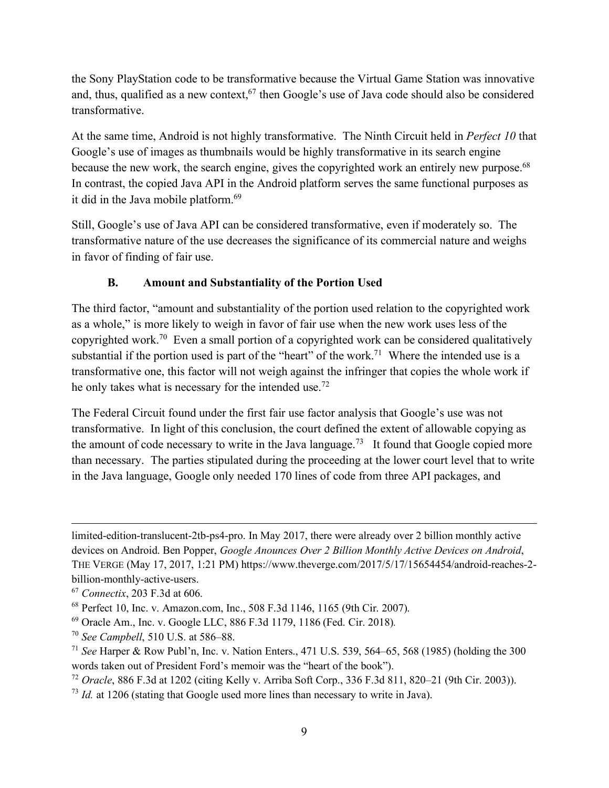the Sony PlayStation code to be transformative because the Virtual Game Station was innovative and, thus, qualified as a new context,  $67$  then Google's use of Java code should also be considered transformative.

At the same time, Android is not highly transformative. The Ninth Circuit held in *Perfect 10* that Google's use of images as thumbnails would be highly transformative in its search engine because the new work, the search engine, gives the copyrighted work an entirely new purpose.<sup>68</sup> In contrast, the copied Java API in the Android platform serves the same functional purposes as it did in the Java mobile platform.<sup>69</sup>

Still, Google's use of Java API can be considered transformative, even if moderately so. The transformative nature of the use decreases the significance of its commercial nature and weighs in favor of finding of fair use.

# **B. Amount and Substantiality of the Portion Used**

The third factor, "amount and substantiality of the portion used relation to the copyrighted work as a whole," is more likely to weigh in favor of fair use when the new work uses less of the copyrighted work.70 Even a small portion of a copyrighted work can be considered qualitatively substantial if the portion used is part of the "heart" of the work.<sup>71</sup> Where the intended use is a transformative one, this factor will not weigh against the infringer that copies the whole work if he only takes what is necessary for the intended use.72

The Federal Circuit found under the first fair use factor analysis that Google's use was not transformative. In light of this conclusion, the court defined the extent of allowable copying as the amount of code necessary to write in the Java language.<sup>73</sup> It found that Google copied more than necessary. The parties stipulated during the proceeding at the lower court level that to write in the Java language, Google only needed 170 lines of code from three API packages, and

 $\overline{a}$ 

limited-edition-translucent-2tb-ps4-pro. In May 2017, there were already over 2 billion monthly active devices on Android. Ben Popper, *Google Anounces Over 2 Billion Monthly Active Devices on Android*, THE VERGE (May 17, 2017, 1:21 PM) https://www.theverge.com/2017/5/17/15654454/android-reaches-2 billion-monthly-active-users.

<sup>67</sup> *Connectix*, 203 F.3d at 606.

<sup>68</sup> Perfect 10, Inc. v. Amazon.com, Inc., 508 F.3d 1146, 1165 (9th Cir. 2007).

<sup>69</sup> Oracle Am., Inc. v. Google LLC, 886 F.3d 1179, 1186 (Fed. Cir. 2018)*.*

<sup>70</sup> *See Campbell*, 510 U.S. at 586–88.

<sup>71</sup> *See* Harper & Row Publ'n, Inc. v. Nation Enters., 471 U.S. 539, 564–65, 568 (1985) (holding the 300 words taken out of President Ford's memoir was the "heart of the book").

<sup>72</sup> *Oracle*, 886 F.3d at 1202 (citing Kelly v. Arriba Soft Corp., 336 F.3d 811, 820–21 (9th Cir. 2003)).

<sup>&</sup>lt;sup>73</sup> *Id.* at 1206 (stating that Google used more lines than necessary to write in Java).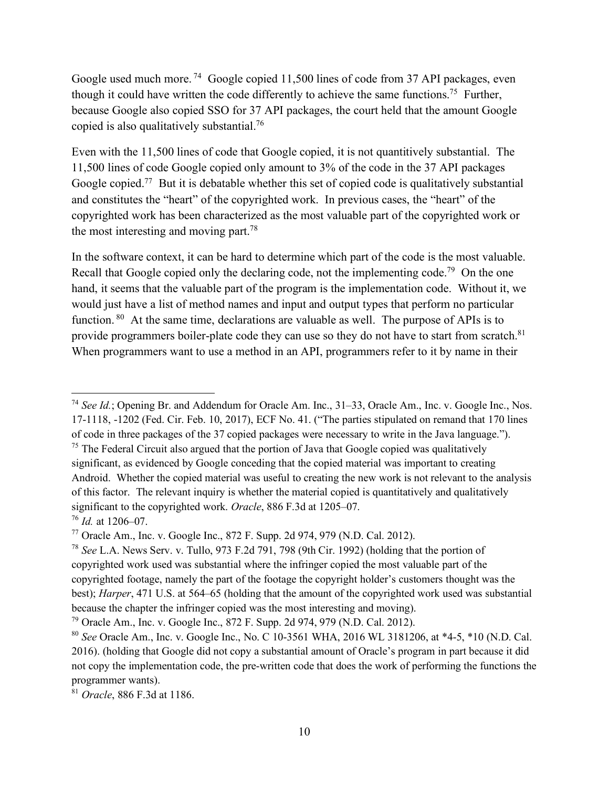Google used much more.<sup>74</sup> Google copied 11,500 lines of code from 37 API packages, even though it could have written the code differently to achieve the same functions.75 Further, because Google also copied SSO for 37 API packages, the court held that the amount Google copied is also qualitatively substantial.76

Even with the 11,500 lines of code that Google copied, it is not quantitively substantial. The 11,500 lines of code Google copied only amount to 3% of the code in the 37 API packages Google copied.<sup>77</sup> But it is debatable whether this set of copied code is qualitatively substantial and constitutes the "heart" of the copyrighted work. In previous cases, the "heart" of the copyrighted work has been characterized as the most valuable part of the copyrighted work or the most interesting and moving part.<sup>78</sup>

In the software context, it can be hard to determine which part of the code is the most valuable. Recall that Google copied only the declaring code, not the implementing code.<sup>79</sup> On the one hand, it seems that the valuable part of the program is the implementation code. Without it, we would just have a list of method names and input and output types that perform no particular function. <sup>80</sup> At the same time, declarations are valuable as well. The purpose of APIs is to provide programmers boiler-plate code they can use so they do not have to start from scratch.<sup>81</sup> When programmers want to use a method in an API, programmers refer to it by name in their

 <sup>74</sup> *See Id.*; Opening Br. and Addendum for Oracle Am. Inc., 31–33, Oracle Am., Inc. v. Google Inc., Nos. 17-1118, -1202 (Fed. Cir. Feb. 10, 2017), ECF No. 41. ("The parties stipulated on remand that 170 lines of code in three packages of the 37 copied packages were necessary to write in the Java language.").

 $75$  The Federal Circuit also argued that the portion of Java that Google copied was qualitatively significant, as evidenced by Google conceding that the copied material was important to creating Android. Whether the copied material was useful to creating the new work is not relevant to the analysis of this factor. The relevant inquiry is whether the material copied is quantitatively and qualitatively significant to the copyrighted work. *Oracle*, 886 F.3d at 1205–07.

<sup>76</sup> *Id.* at 1206–07.

<sup>77</sup> Oracle Am., Inc. v. Google Inc., 872 F. Supp. 2d 974, 979 (N.D. Cal. 2012).

<sup>78</sup> *See* L.A. News Serv. v. Tullo, 973 F.2d 791, 798 (9th Cir. 1992) (holding that the portion of copyrighted work used was substantial where the infringer copied the most valuable part of the copyrighted footage, namely the part of the footage the copyright holder's customers thought was the best); *Harper*, 471 U.S. at 564–65 (holding that the amount of the copyrighted work used was substantial because the chapter the infringer copied was the most interesting and moving).

<sup>79</sup> Oracle Am., Inc. v. Google Inc., 872 F. Supp. 2d 974, 979 (N.D. Cal. 2012).

<sup>80</sup> *See* Oracle Am., Inc. v. Google Inc., No. C 10-3561 WHA, 2016 WL 3181206, at \*4-5, \*10 (N.D. Cal. 2016). (holding that Google did not copy a substantial amount of Oracle's program in part because it did not copy the implementation code, the pre-written code that does the work of performing the functions the programmer wants).

<sup>81</sup> *Oracle*, 886 F.3d at 1186.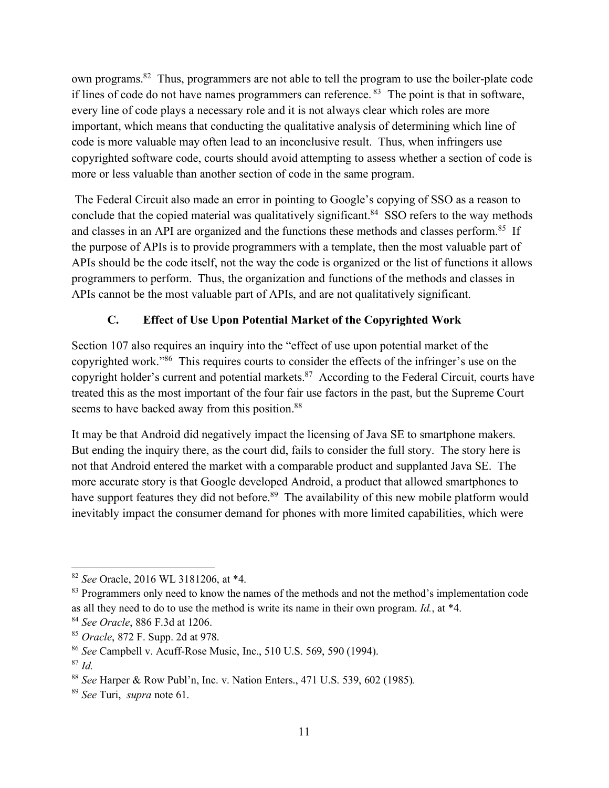own programs.82 Thus, programmers are not able to tell the program to use the boiler-plate code if lines of code do not have names programmers can reference. 83 The point is that in software, every line of code plays a necessary role and it is not always clear which roles are more important, which means that conducting the qualitative analysis of determining which line of code is more valuable may often lead to an inconclusive result. Thus, when infringers use copyrighted software code, courts should avoid attempting to assess whether a section of code is more or less valuable than another section of code in the same program.

The Federal Circuit also made an error in pointing to Google's copying of SSO as a reason to conclude that the copied material was qualitatively significant.<sup>84</sup> SSO refers to the way methods and classes in an API are organized and the functions these methods and classes perform.<sup>85</sup> If the purpose of APIs is to provide programmers with a template, then the most valuable part of APIs should be the code itself, not the way the code is organized or the list of functions it allows programmers to perform. Thus, the organization and functions of the methods and classes in APIs cannot be the most valuable part of APIs, and are not qualitatively significant.

# **C. Effect of Use Upon Potential Market of the Copyrighted Work**

Section 107 also requires an inquiry into the "effect of use upon potential market of the copyrighted work."86 This requires courts to consider the effects of the infringer's use on the copyright holder's current and potential markets.<sup>87</sup> According to the Federal Circuit, courts have treated this as the most important of the four fair use factors in the past, but the Supreme Court seems to have backed away from this position.<sup>88</sup>

It may be that Android did negatively impact the licensing of Java SE to smartphone makers. But ending the inquiry there, as the court did, fails to consider the full story. The story here is not that Android entered the market with a comparable product and supplanted Java SE. The more accurate story is that Google developed Android, a product that allowed smartphones to have support features they did not before.<sup>89</sup> The availability of this new mobile platform would inevitably impact the consumer demand for phones with more limited capabilities, which were

 <sup>82</sup> *See* Oracle, 2016 WL 3181206, at \*4.

<sup>&</sup>lt;sup>83</sup> Programmers only need to know the names of the methods and not the method's implementation code as all they need to do to use the method is write its name in their own program. *Id.*, at \*4.

<sup>84</sup> *See Oracle*, 886 F.3d at 1206.

<sup>85</sup> *Oracle*, 872 F. Supp. 2d at 978.

<sup>86</sup> *See* Campbell v. Acuff-Rose Music, Inc., 510 U.S. 569, 590 (1994).

<sup>87</sup> *Id.*

<sup>88</sup> *See* Harper & Row Publ'n, Inc. v. Nation Enters., 471 U.S. 539, 602 (1985)*.*

<sup>89</sup> *See* Turi, *supra* note 61.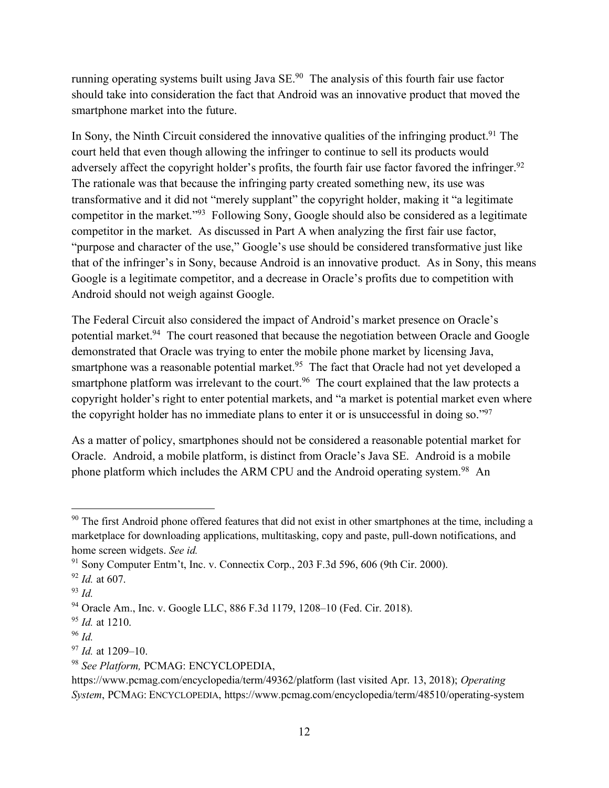running operating systems built using Java SE.90 The analysis of this fourth fair use factor should take into consideration the fact that Android was an innovative product that moved the smartphone market into the future.

In Sony, the Ninth Circuit considered the innovative qualities of the infringing product.<sup>91</sup> The court held that even though allowing the infringer to continue to sell its products would adversely affect the copyright holder's profits, the fourth fair use factor favored the infringer.<sup>92</sup> The rationale was that because the infringing party created something new, its use was transformative and it did not "merely supplant" the copyright holder, making it "a legitimate competitor in the market."93 Following Sony, Google should also be considered as a legitimate competitor in the market. As discussed in Part A when analyzing the first fair use factor, "purpose and character of the use," Google's use should be considered transformative just like that of the infringer's in Sony, because Android is an innovative product. As in Sony, this means Google is a legitimate competitor, and a decrease in Oracle's profits due to competition with Android should not weigh against Google.

The Federal Circuit also considered the impact of Android's market presence on Oracle's potential market.<sup>94</sup> The court reasoned that because the negotiation between Oracle and Google demonstrated that Oracle was trying to enter the mobile phone market by licensing Java, smartphone was a reasonable potential market.<sup>95</sup> The fact that Oracle had not yet developed a smartphone platform was irrelevant to the court.<sup>96</sup> The court explained that the law protects a copyright holder's right to enter potential markets, and "a market is potential market even where the copyright holder has no immediate plans to enter it or is unsuccessful in doing so."97

As a matter of policy, smartphones should not be considered a reasonable potential market for Oracle. Android, a mobile platform, is distinct from Oracle's Java SE. Android is a mobile phone platform which includes the ARM CPU and the Android operating system.<sup>98</sup> An

<sup>&</sup>lt;sup>90</sup> The first Android phone offered features that did not exist in other smartphones at the time, including a marketplace for downloading applications, multitasking, copy and paste, pull-down notifications, and home screen widgets. *See id.*

 $91$  Sony Computer Entm't, Inc. v. Connectix Corp., 203 F.3d 596, 606 (9th Cir. 2000).

<sup>92</sup> *Id.* at 607.

<sup>93</sup> *Id.*

<sup>94</sup> Oracle Am., Inc. v. Google LLC, 886 F.3d 1179, 1208–10 (Fed. Cir. 2018).

<sup>95</sup> *Id.* at 1210.

<sup>96</sup> *Id.*

<sup>97</sup> *Id.* at 1209–10.

<sup>98</sup> *See Platform,* PCMAG: ENCYCLOPEDIA,

https://www.pcmag.com/encyclopedia/term/49362/platform (last visited Apr. 13, 2018); *Operating System*, PCMAG: ENCYCLOPEDIA, https://www.pcmag.com/encyclopedia/term/48510/operating-system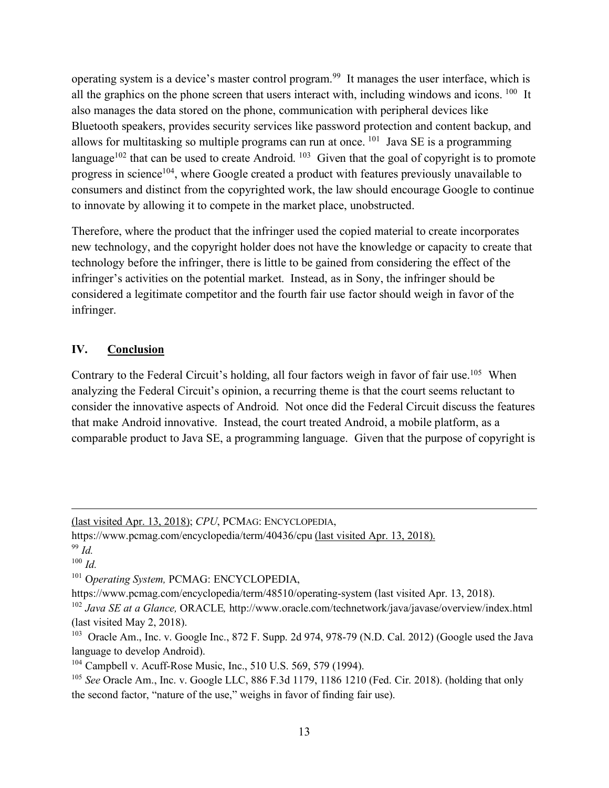operating system is a device's master control program.99 It manages the user interface, which is all the graphics on the phone screen that users interact with, including windows and icons. <sup>100</sup> It also manages the data stored on the phone, communication with peripheral devices like Bluetooth speakers, provides security services like password protection and content backup, and allows for multitasking so multiple programs can run at once. 101 Java SE is a programming language<sup>102</sup> that can be used to create Android. <sup>103</sup> Given that the goal of copyright is to promote progress in science<sup>104</sup>, where Google created a product with features previously unavailable to consumers and distinct from the copyrighted work, the law should encourage Google to continue to innovate by allowing it to compete in the market place, unobstructed.

Therefore, where the product that the infringer used the copied material to create incorporates new technology, and the copyright holder does not have the knowledge or capacity to create that technology before the infringer, there is little to be gained from considering the effect of the infringer's activities on the potential market. Instead, as in Sony, the infringer should be considered a legitimate competitor and the fourth fair use factor should weigh in favor of the infringer.

#### **IV. Conclusion**

Contrary to the Federal Circuit's holding, all four factors weigh in favor of fair use.<sup>105</sup> When analyzing the Federal Circuit's opinion, a recurring theme is that the court seems reluctant to consider the innovative aspects of Android. Not once did the Federal Circuit discuss the features that make Android innovative. Instead, the court treated Android, a mobile platform, as a comparable product to Java SE, a programming language. Given that the purpose of copyright is

 $\overline{a}$ 

<sup>(</sup>last visited Apr. 13, 2018); *CPU*, PCMAG: ENCYCLOPEDIA,

https://www.pcmag.com/encyclopedia/term/40436/cpu (last visited Apr. 13, 2018).

<sup>99</sup> *Id.*

 $100$  *Id.* 

<sup>101</sup> O*perating System,* PCMAG: ENCYCLOPEDIA,

https://www.pcmag.com/encyclopedia/term/48510/operating-system (last visited Apr. 13, 2018).

<sup>&</sup>lt;sup>102</sup> *Java SE at a Glance*, ORACLE, http://www.oracle.com/technetwork/java/javase/overview/index.html (last visited May 2, 2018).

<sup>103</sup> Oracle Am., Inc. v. Google Inc., 872 F. Supp. 2d 974, 978-79 (N.D. Cal. 2012) (Google used the Java language to develop Android).

<sup>&</sup>lt;sup>104</sup> Campbell v. Acuff-Rose Music, Inc., 510 U.S. 569, 579 (1994).

<sup>105</sup> *See* Oracle Am., Inc. v. Google LLC, 886 F.3d 1179, 1186 1210 (Fed. Cir. 2018). (holding that only the second factor, "nature of the use," weighs in favor of finding fair use).